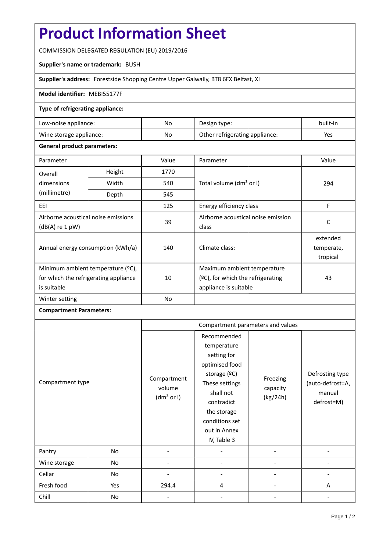# **Product Information Sheet**

COMMISSION DELEGATED REGULATION (EU) 2019/2016

### **Supplier's name or trademark:** BUSH

**Supplier's address:** Forestside Shopping Centre Upper Galwally, BT8 6FX Belfast, XI

#### **Model identifier:** MEBI55177F

### **Type of refrigerating appliance:**

| Low-noise appliance:    | No | Design type:                   | built-in |
|-------------------------|----|--------------------------------|----------|
| Wine storage appliance: | No | Other refrigerating appliance: | Yes      |

#### **General product parameters:**

| Parameter                                                |        | Value     | Parameter                            | Value      |
|----------------------------------------------------------|--------|-----------|--------------------------------------|------------|
| Overall                                                  | Height | 1770      |                                      | 294        |
| dimensions                                               | Width  | 540       | Total volume (dm <sup>3</sup> or I)  |            |
| (millimetre)                                             | Depth  | 545       |                                      |            |
| EEI                                                      |        | 125       | Energy efficiency class              | F          |
| Airborne acoustical noise emissions<br>$(dB(A)$ re 1 pW) |        | 39        | Airborne acoustical noise emission   | C          |
|                                                          |        |           | class                                |            |
| Annual energy consumption (kWh/a)                        |        | 140       | Climate class:                       | extended   |
|                                                          |        |           |                                      | temperate, |
|                                                          |        |           |                                      | tropical   |
| Minimum ambient temperature (°C),                        |        |           | Maximum ambient temperature          |            |
| for which the refrigerating appliance<br>is suitable     |        | 10        | $(°C)$ , for which the refrigerating | 43         |
|                                                          |        |           | appliance is suitable                |            |
| Winter setting                                           |        | <b>No</b> |                                      |            |

## **Compartment Parameters:**

|                  |     | Compartment parameters and values               |                                                                                                                                                                                          |                                  |                                                             |
|------------------|-----|-------------------------------------------------|------------------------------------------------------------------------------------------------------------------------------------------------------------------------------------------|----------------------------------|-------------------------------------------------------------|
| Compartment type |     | Compartment<br>volume<br>(dm <sup>3</sup> or I) | Recommended<br>temperature<br>setting for<br>optimised food<br>storage (°C)<br>These settings<br>shall not<br>contradict<br>the storage<br>conditions set<br>out in Annex<br>IV, Table 3 | Freezing<br>capacity<br>(kg/24h) | Defrosting type<br>(auto-defrost=A,<br>manual<br>defrost=M) |
| Pantry           | No  |                                                 |                                                                                                                                                                                          |                                  |                                                             |
| Wine storage     | No  |                                                 |                                                                                                                                                                                          |                                  |                                                             |
| Cellar           | No  |                                                 |                                                                                                                                                                                          |                                  |                                                             |
| Fresh food       | Yes | 294.4                                           | 4                                                                                                                                                                                        |                                  | A                                                           |
| Chill            | No  |                                                 |                                                                                                                                                                                          |                                  |                                                             |